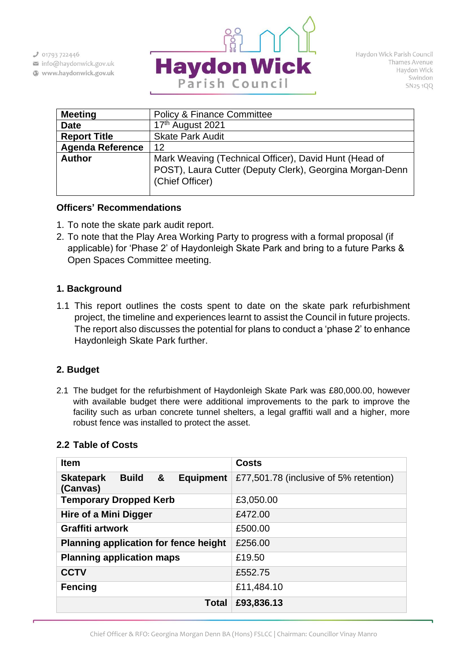$301793722446$ 

- info@haydonwick.gov.uk
- Www.haydonwick.gov.uk



Haydon Wick Parish Council Thames Avenue Haydon Wick Swindon SN25 1QQ

| <b>Policy &amp; Finance Committee</b>                                                                                                |
|--------------------------------------------------------------------------------------------------------------------------------------|
| 17th August 2021                                                                                                                     |
| <b>Skate Park Audit</b>                                                                                                              |
| 12                                                                                                                                   |
| Mark Weaving (Technical Officer), David Hunt (Head of<br>POST), Laura Cutter (Deputy Clerk), Georgina Morgan-Denn<br>(Chief Officer) |
|                                                                                                                                      |

#### **Officers' Recommendations**

- 1. To note the skate park audit report.
- 2. To note that the Play Area Working Party to progress with a formal proposal (if applicable) for 'Phase 2' of Haydonleigh Skate Park and bring to a future Parks & Open Spaces Committee meeting.

## **1. Background**

1.1 This report outlines the costs spent to date on the skate park refurbishment project, the timeline and experiences learnt to assist the Council in future projects. The report also discusses the potential for plans to conduct a 'phase 2' to enhance Haydonleigh Skate Park further.

## **2. Budget**

2.1 The budget for the refurbishment of Haydonleigh Skate Park was £80,000.00, however with available budget there were additional improvements to the park to improve the facility such as urban concrete tunnel shelters, a legal graffiti wall and a higher, more robust fence was installed to protect the asset.

| <b>Item</b>                                                           | <b>Costs</b>                           |
|-----------------------------------------------------------------------|----------------------------------------|
| &<br><b>Equipment</b><br><b>Skatepark</b><br><b>Build</b><br>(Canvas) | £77,501.78 (inclusive of 5% retention) |
| <b>Temporary Dropped Kerb</b>                                         | £3,050.00                              |
| Hire of a Mini Digger                                                 | £472.00                                |
| <b>Graffiti artwork</b>                                               | £500.00                                |
| <b>Planning application for fence height</b>                          | £256.00                                |
| <b>Planning application maps</b>                                      | £19.50                                 |
| <b>CCTV</b>                                                           | £552.75                                |
| <b>Fencing</b>                                                        | £11,484.10                             |
| <b>Total</b>                                                          | £93,836.13                             |

### **2.2 Table of Costs**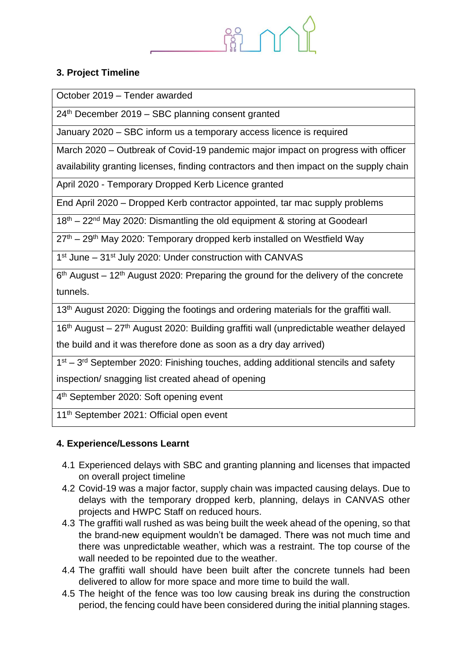# **3. Project Timeline**

October 2019 – Tender awarded

24th December 2019 – SBC planning consent granted

January 2020 – SBC inform us a temporary access licence is required

March 2020 – Outbreak of Covid-19 pandemic major impact on progress with officer

availability granting licenses, finding contractors and then impact on the supply chain

April 2020 - Temporary Dropped Kerb Licence granted

End April 2020 – Dropped Kerb contractor appointed, tar mac supply problems

18<sup>th</sup> – 22<sup>nd</sup> May 2020: Dismantling the old equipment & storing at Goodearl

27th – 29th May 2020: Temporary dropped kerb installed on Westfield Way

1<sup>st</sup> June – 31<sup>st</sup> July 2020: Under construction with CANVAS

 $6<sup>th</sup>$  August – 12<sup>th</sup> August 2020: Preparing the ground for the delivery of the concrete tunnels.

13<sup>th</sup> August 2020: Digging the footings and ordering materials for the graffiti wall.

 $16<sup>th</sup>$  August – 27<sup>th</sup> August 2020: Building graffiti wall (unpredictable weather delayed

the build and it was therefore done as soon as a dry day arrived)

1<sup>st</sup> – 3<sup>rd</sup> September 2020: Finishing touches, adding additional stencils and safety

inspection/ snagging list created ahead of opening

4<sup>th</sup> September 2020: Soft opening event

11<sup>th</sup> September 2021: Official open event

## **4. Experience/Lessons Learnt**

- 4.1 Experienced delays with SBC and granting planning and licenses that impacted on overall project timeline
- 4.2 Covid-19 was a major factor, supply chain was impacted causing delays. Due to delays with the temporary dropped kerb, planning, delays in CANVAS other projects and HWPC Staff on reduced hours.
- 4.3 The graffiti wall rushed as was being built the week ahead of the opening, so that the brand-new equipment wouldn't be damaged. There was not much time and there was unpredictable weather, which was a restraint. The top course of the wall needed to be repointed due to the weather.
- 4.4 The graffiti wall should have been built after the concrete tunnels had been delivered to allow for more space and more time to build the wall.
- 4.5 The height of the fence was too low causing break ins during the construction period, the fencing could have been considered during the initial planning stages.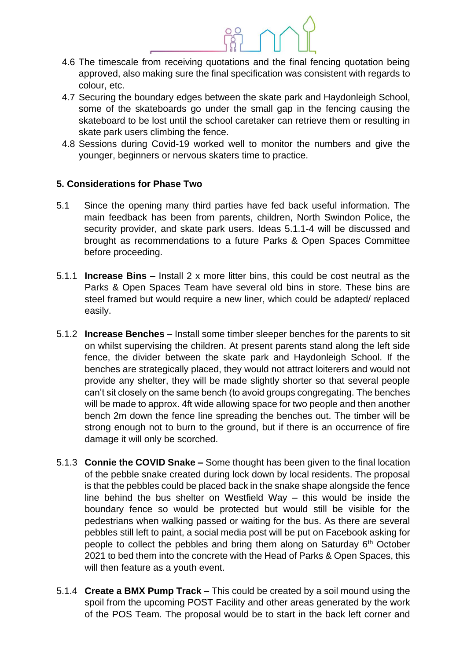- 4.6 The timescale from receiving quotations and the final fencing quotation being approved, also making sure the final specification was consistent with regards to colour, etc.
- 4.7 Securing the boundary edges between the skate park and Haydonleigh School, some of the skateboards go under the small gap in the fencing causing the skateboard to be lost until the school caretaker can retrieve them or resulting in skate park users climbing the fence.
- 4.8 Sessions during Covid-19 worked well to monitor the numbers and give the younger, beginners or nervous skaters time to practice.

### **5. Considerations for Phase Two**

- 5.1 Since the opening many third parties have fed back useful information. The main feedback has been from parents, children, North Swindon Police, the security provider, and skate park users. Ideas 5.1.1-4 will be discussed and brought as recommendations to a future Parks & Open Spaces Committee before proceeding.
- 5.1.1 **Increase Bins –** Install 2 x more litter bins, this could be cost neutral as the Parks & Open Spaces Team have several old bins in store. These bins are steel framed but would require a new liner, which could be adapted/ replaced easily.
- 5.1.2 **Increase Benches –** Install some timber sleeper benches for the parents to sit on whilst supervising the children. At present parents stand along the left side fence, the divider between the skate park and Haydonleigh School. If the benches are strategically placed, they would not attract loiterers and would not provide any shelter, they will be made slightly shorter so that several people can't sit closely on the same bench (to avoid groups congregating. The benches will be made to approx. 4ft wide allowing space for two people and then another bench 2m down the fence line spreading the benches out. The timber will be strong enough not to burn to the ground, but if there is an occurrence of fire damage it will only be scorched.
- 5.1.3 **Connie the COVID Snake –** Some thought has been given to the final location of the pebble snake created during lock down by local residents. The proposal is that the pebbles could be placed back in the snake shape alongside the fence line behind the bus shelter on Westfield Way – this would be inside the boundary fence so would be protected but would still be visible for the pedestrians when walking passed or waiting for the bus. As there are several pebbles still left to paint, a social media post will be put on Facebook asking for people to collect the pebbles and bring them along on Saturday  $6<sup>th</sup>$  October 2021 to bed them into the concrete with the Head of Parks & Open Spaces, this will then feature as a youth event.
- 5.1.4 **Create a BMX Pump Track –** This could be created by a soil mound using the spoil from the upcoming POST Facility and other areas generated by the work of the POS Team. The proposal would be to start in the back left corner and